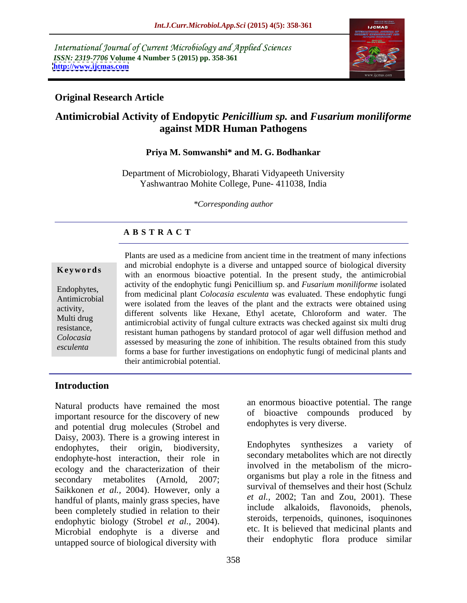International Journal of Current Microbiology and Applied Sciences *ISSN: 2319-7706* **Volume 4 Number 5 (2015) pp. 358-361 <http://www.ijcmas.com>**



## **Original Research Article**

# **Antimicrobial Activity of Endopytic** *Penicillium sp.* **and** *Fusarium moniliforme* **against MDR Human Pathogens**

### **Priya M. Somwanshi\* and M. G. Bodhankar**

Department of Microbiology, Bharati Vidyapeeth University Yashwantrao Mohite College, Pune- 411038, India

*\*Corresponding author*

## **A B S T R A C T**

*esculenta*

Plants are used as a medicine from ancient time in the treatment of many infections and microbial endophyte is a diverse and untapped source of biological diversity **Keywords** and merodial endoptryce is a diverse and dimapped solice of diological diversity with an enormous bioactive potential. In the present study, the antimicrobial activity of the endophytic fungi Penicillium sp. and *Fusarium moniliforme* isolated Endophytes,<br>Antimization of the endophyte funging and *Colocasia esculenta* was evaluated. These endophytic fungi Antimicrobial were isolated from the leaves of the plant and the extracts were obtained using activity,<br>
different solvents like Hexane, Ethyl acetate, Chloroform and water. The Multi drug<br>
antimicrobial activity of fungal culture extracts was checked against six multi drug resistance,<br>
resistant human pathogens by standard protocol of agar well diffusion method and assessed by measuring the zone of inhibition. The results obtained from this study *Colocasia* forms a base for further investigations on endophytic fungi of medicinal plants and their antimicrobial potential.

## **Introduction**

Natural products have remained the most important resource for the discovery of new and potential drug molecules (Strobel and Daisy, 2003). There is a growing interest in endophytes, their origin, biodiversity, endophyte-host interaction, their role in ecology and the characterization of their secondary metabolites (Arnold, 2007; Saikkonen *et al.,* 2004). However, only a handful of plants, mainly grass species, have been completely studied in relation to their endophytic biology (Strobel *et al.,* 2004). Microbial endophyte is a diverse and untapped source of biological diversity with

an enormous bioactive potential. The range of bioactive compounds produced by endophytes is very diverse.

Endophytes synthesizes a variety of secondary metabolites which are not directly involved in the metabolism of the micro organisms but play a role in the fitness and survival of themselves and their host (Schulz *et al.,* 2002; Tan and Zou, 2001). These include alkaloids, flavonoids, phenols, steroids, terpenoids, quinones, isoquinones etc. It is believed that medicinal plants and their endophytic flora produce similar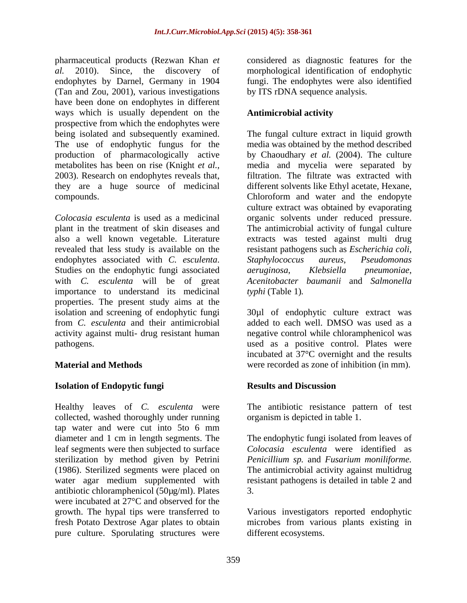pharmaceutical products (Rezwan Khan *et*  considered as diagnostic features for the *al.* 2010). Since, the discovery of morphological identification of endophytic endophytes by Darnel, Germany in 1904 (Tan and Zou, 2001), various investigations have been done on endophytes in different ways which is usually dependent on the **Antimicrobial activity** prospective from which the endophytes were The use of endophytic fungus for the 2003). Research on endophytes reveals that, they are a huge source of medicinal

*Colocasia esculenta* is used as a medicinal organic solvents under reduced pressure. plant in the treatment of skin diseases and The antimicrobial activity of fungal culture also a well known vegetable. Literature extracts was tested against multi drug revealed that less study is available on the resistant pathogens such as *Escherichia coli*, endophytes associated with *C. esculenta*. Studies on the endophytic fungi associated with *C. esculenta* will be of great *Acenitobacter baumanii* and *Salmonella*  importance to understand its medicinal properties. The present study aims at the isolation and screening of endophytic fungi from *C. esculenta* and their antimicrobial added to each well. DMSO was used as a activity against multi- drug resistant human negative control while chloramphenicol was

### **Isolation of Endopytic fungi**

Healthy leaves of *C. esculenta* were The antibiotic resistance pattern of test collected, washed thoroughly under running tap water and were cut into 5to 6 mm diameter and 1 cm in length segments. The The endophytic fungi isolated from leaves of leaf segments were then subjected to surface sterilization by method given by Petrini *Penicillium sp.* and *Fusarium moniliforme.* (1986). Sterilized segments were placed on The antimicrobial activity against multidrug water agar medium supplemented with antibiotic chloramphenicol (50µg/ml). Plates were incubated at 27°C and observed for the growth. The hypal tips were transferred to Various investigators reported endophytic fresh Potato Dextrose Agar plates to obtain microbes from various plants existing in pure culture. Sporulating structures were

fungi. The endophytes were also identified by ITS rDNA sequence analysis.

## **Antimicrobial activity**

being isolated and subsequently examined. The fungal culture extract in liquid growth production of pharmacologically active by Chaoudhary *et al.* (2004). The culture metabolites has been on rise (Knight *et al.,* media and mycelia were separated by compounds. Chloroform and water and the endopyte media was obtained by the method described filtration. The filtrate was extracted with different solvents like Ethyl acetate, Hexane, culture extract was obtained by evaporating *Staphylococcus aureus*, *Pseudomonas aeruginosa*, *Klebsiella pneumoniae*, *typhi* (Table 1)*.*

pathogens. used as a positive control. Plates were **Material and Methods** were recorded as zone of inhibition (in mm). 30µl of endophytic culture extract was incubated at 37°C overnight and the results

### **Results and Discussion**

organism is depicted in table 1.

*Colocasia esculenta* were identified as resistant pathogens is detailed in table 2 and 3.

different ecosystems.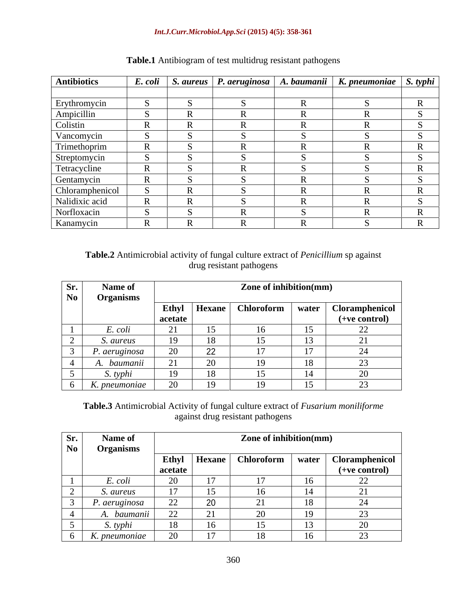### *Int.J.Curr.Microbiol.App.Sci* **(2015) 4(5): 358-361**

| Antibiotics     |                   |  | E. coli   S. aureus   P. aeruginosa   A. baumanii   K. pneumoniae   S. typhi |  |
|-----------------|-------------------|--|------------------------------------------------------------------------------|--|
| Erythromycin    |                   |  |                                                                              |  |
| Ampicillin      |                   |  |                                                                              |  |
| Colistin        | $\mathbf{r}$<br>ĸ |  |                                                                              |  |
| Vancomycin      |                   |  |                                                                              |  |
| Trimethoprim    |                   |  |                                                                              |  |
| Streptomycin    |                   |  |                                                                              |  |
| Tetracycline    |                   |  |                                                                              |  |
| Gentamycin      |                   |  |                                                                              |  |
| Chloramphenicol | $\mathbf R$       |  |                                                                              |  |
| Nalidixic acid  |                   |  |                                                                              |  |
| Norfloxacin     |                   |  |                                                                              |  |
| Kanamycin       | $\bf R$           |  |                                                                              |  |

## **Table.1** Antibiogram of test multidrug resistant pathogens

**Table.2** Antimicrobial activity of fungal culture extract of *Penicillium* sp against drug resistant pathogens

| Sr.      | <b>Name of</b>    |                  |    | Zone of inhibition(mm) |                |                                              |
|----------|-------------------|------------------|----|------------------------|----------------|----------------------------------------------|
| $\bf No$ | <b>Organisms</b>  |                  |    |                        |                |                                              |
|          |                   | Ethyl            |    |                        |                | Hexane   Chloroform   water   Cloramphenicol |
|          |                   | acetate          |    |                        |                | (+ve control)                                |
|          | E. coli           | 21<br>$\angle$ 1 | 15 |                        | 1 <sub>z</sub> | $\sim$<br>$\overline{\phantom{a}}$           |
|          | S. aureus         | 19               | 18 |                        |                |                                              |
|          | P. aeruginosa     | 20               | 22 |                        | $\rightarrow$  |                                              |
|          | A. baumanii       | 21               | 20 |                        |                |                                              |
|          | S. typhi          | 19               | 18 |                        |                | $\bigcap$                                    |
|          | 6   K. pneumoniae | 20               | 19 |                        | 1 <sub>r</sub> |                                              |

**Table.3** Antimicrobial Activity of fungal culture extract of *Fusarium moniliforme* against drug resistant pathogens

| Sr.       | Name of            |                        |                | Zone of inhibition(mm) |                          |                                                      |
|-----------|--------------------|------------------------|----------------|------------------------|--------------------------|------------------------------------------------------|
| $\bf{No}$ | <b>Organisms</b>   |                        |                |                        |                          | Ethyl   Hexane   Chloroform   water   Cloramphenicol |
|           |                    | $\parallel$ acetate    |                |                        |                          | $(+ve control)$                                      |
|           | E. coli            | $\Omega$<br>$\angle U$ | 1 <sub>7</sub> |                        |                          |                                                      |
|           | S. aureus          | 17                     | 15             |                        |                          |                                                      |
|           | $P.$ aeruginosa    | 22                     | 20             |                        |                          |                                                      |
|           | A. <i>baumanii</i> | 22                     | 21             |                        | $\overline{\phantom{a}}$ |                                                      |
|           | S. typhi           | 18                     | 16             |                        |                          |                                                      |
|           | K. pneumoniae      | 20                     | 17             |                        |                          | $\sim$ $\sim$                                        |